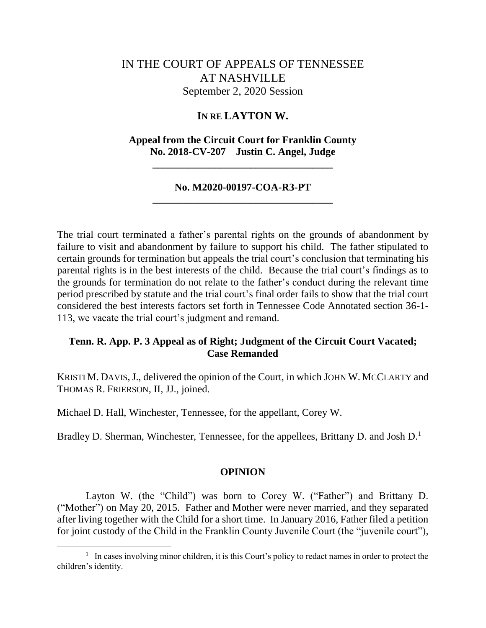# IN THE COURT OF APPEALS OF TENNESSEE AT NASHVILLE September 2, 2020 Session

### **IN RE LAYTON W.**

### **Appeal from the Circuit Court for Franklin County No. 2018-CV-207 Justin C. Angel, Judge**

**\_\_\_\_\_\_\_\_\_\_\_\_\_\_\_\_\_\_\_\_\_\_\_\_\_\_\_\_\_\_\_\_\_\_\_**

### **No. M2020-00197-COA-R3-PT \_\_\_\_\_\_\_\_\_\_\_\_\_\_\_\_\_\_\_\_\_\_\_\_\_\_\_\_\_\_\_\_\_\_\_**

The trial court terminated a father's parental rights on the grounds of abandonment by failure to visit and abandonment by failure to support his child. The father stipulated to certain grounds for termination but appeals the trial court's conclusion that terminating his parental rights is in the best interests of the child. Because the trial court's findings as to the grounds for termination do not relate to the father's conduct during the relevant time period prescribed by statute and the trial court's final order fails to show that the trial court considered the best interests factors set forth in Tennessee Code Annotated section 36-1- 113, we vacate the trial court's judgment and remand.

### **Tenn. R. App. P. 3 Appeal as of Right; Judgment of the Circuit Court Vacated; Case Remanded**

KRISTI M. DAVIS, J., delivered the opinion of the Court, in which JOHN W. MCCLARTY and THOMAS R. FRIERSON, II, JJ., joined.

Michael D. Hall, Winchester, Tennessee, for the appellant, Corey W.

Bradley D. Sherman, Winchester, Tennessee, for the appellees, Brittany D. and Josh D.<sup>1</sup>

#### **OPINION**

Layton W. (the "Child") was born to Corey W. ("Father") and Brittany D. ("Mother") on May 20, 2015. Father and Mother were never married, and they separated after living together with the Child for a short time. In January 2016, Father filed a petition for joint custody of the Child in the Franklin County Juvenile Court (the "juvenile court"),

<sup>&</sup>lt;sup>1</sup> In cases involving minor children, it is this Court's policy to redact names in order to protect the children's identity.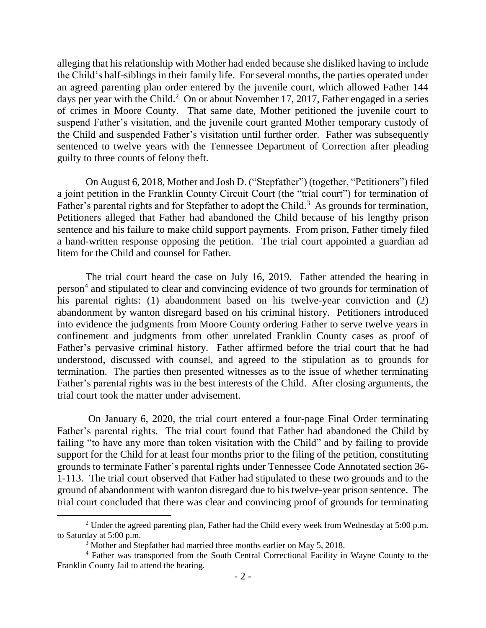alleging that his relationship with Mother had ended because she disliked having to include the Child's half-siblings in their family life. For several months, the parties operated under an agreed parenting plan order entered by the juvenile court, which allowed Father 144 days per year with the Child.<sup>2</sup> On or about November 17, 2017, Father engaged in a series of crimes in Moore County. That same date, Mother petitioned the juvenile court to suspend Father's visitation, and the juvenile court granted Mother temporary custody of the Child and suspended Father's visitation until further order. Father was subsequently sentenced to twelve years with the Tennessee Department of Correction after pleading guilty to three counts of felony theft.

On August 6, 2018, Mother and Josh D. ("Stepfather") (together, "Petitioners") filed a joint petition in the Franklin County Circuit Court (the "trial court") for termination of Father's parental rights and for Stepfather to adopt the Child.<sup>3</sup> As grounds for termination, Petitioners alleged that Father had abandoned the Child because of his lengthy prison sentence and his failure to make child support payments. From prison, Father timely filed a hand-written response opposing the petition. The trial court appointed a guardian ad litem for the Child and counsel for Father.

The trial court heard the case on July 16, 2019. Father attended the hearing in person<sup>4</sup> and stipulated to clear and convincing evidence of two grounds for termination of his parental rights: (1) abandonment based on his twelve-year conviction and (2) abandonment by wanton disregard based on his criminal history. Petitioners introduced into evidence the judgments from Moore County ordering Father to serve twelve years in confinement and judgments from other unrelated Franklin County cases as proof of Father's pervasive criminal history. Father affirmed before the trial court that he had understood, discussed with counsel, and agreed to the stipulation as to grounds for termination. The parties then presented witnesses as to the issue of whether terminating Father's parental rights was in the best interests of the Child. After closing arguments, the trial court took the matter under advisement.

On January 6, 2020, the trial court entered a four-page Final Order terminating Father's parental rights. The trial court found that Father had abandoned the Child by failing "to have any more than token visitation with the Child" and by failing to provide support for the Child for at least four months prior to the filing of the petition, constituting grounds to terminate Father's parental rights under Tennessee Code Annotated section 36- 1-113. The trial court observed that Father had stipulated to these two grounds and to the ground of abandonment with wanton disregard due to his twelve-year prison sentence. The trial court concluded that there was clear and convincing proof of grounds for terminating

<sup>&</sup>lt;sup>2</sup> Under the agreed parenting plan, Father had the Child every week from Wednesday at  $5:00$  p.m. to Saturday at 5:00 p.m.

<sup>&</sup>lt;sup>3</sup> Mother and Stepfather had married three months earlier on May 5, 2018.

<sup>4</sup> Father was transported from the South Central Correctional Facility in Wayne County to the Franklin County Jail to attend the hearing.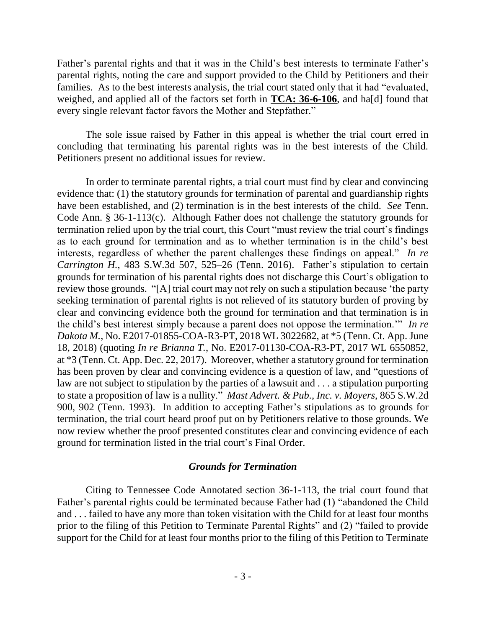Father's parental rights and that it was in the Child's best interests to terminate Father's parental rights, noting the care and support provided to the Child by Petitioners and their families. As to the best interests analysis, the trial court stated only that it had "evaluated, weighed, and applied all of the factors set forth in **TCA: 36-6-106**, and ha[d] found that every single relevant factor favors the Mother and Stepfather."

The sole issue raised by Father in this appeal is whether the trial court erred in concluding that terminating his parental rights was in the best interests of the Child. Petitioners present no additional issues for review.

In order to terminate parental rights, a trial court must find by clear and convincing evidence that: (1) the statutory grounds for termination of parental and guardianship rights have been established, and (2) termination is in the best interests of the child. *See* Tenn. Code Ann. § 36-1-113(c). Although Father does not challenge the statutory grounds for termination relied upon by the trial court, this Court "must review the trial court's findings as to each ground for termination and as to whether termination is in the child's best interests, regardless of whether the parent challenges these findings on appeal." *In re Carrington H.*, 483 S.W.3d 507, 525–26 (Tenn. 2016). Father's stipulation to certain grounds for termination of his parental rights does not discharge this Court's obligation to review those grounds. "[A] trial court may not rely on such a stipulation because 'the party seeking termination of parental rights is not relieved of its statutory burden of proving by clear and convincing evidence both the ground for termination and that termination is in the child's best interest simply because a parent does not oppose the termination.'" *In re Dakota M.*, No. E2017-01855-COA-R3-PT, 2018 WL 3022682, at \*5 (Tenn. Ct. App. June 18, 2018) (quoting *In re Brianna T.*, No. E2017-01130-COA-R3-PT, 2017 WL 6550852, at \*3 (Tenn. Ct. App. Dec. 22, 2017). Moreover, whether a statutory ground for termination has been proven by clear and convincing evidence is a question of law, and "questions of law are not subject to stipulation by the parties of a lawsuit and . . . a stipulation purporting to state a proposition of law is a nullity." *Mast Advert. & Pub., Inc. v. Moyers*, 865 S.W.2d 900, 902 (Tenn. 1993). In addition to accepting Father's stipulations as to grounds for termination, the trial court heard proof put on by Petitioners relative to those grounds. We now review whether the proof presented constitutes clear and convincing evidence of each ground for termination listed in the trial court's Final Order.

#### *Grounds for Termination*

Citing to Tennessee Code Annotated section 36-1-113, the trial court found that Father's parental rights could be terminated because Father had (1) "abandoned the Child and . . . failed to have any more than token visitation with the Child for at least four months prior to the filing of this Petition to Terminate Parental Rights" and (2) "failed to provide support for the Child for at least four months prior to the filing of this Petition to Terminate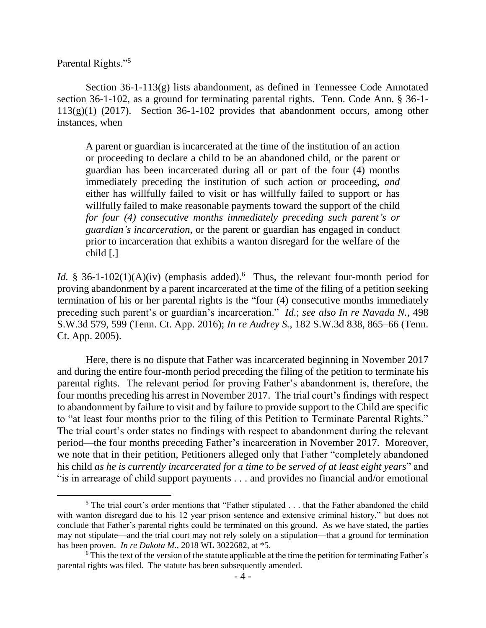Parental Rights."<sup>5</sup>

 $\overline{a}$ 

Section 36-1-113(g) lists abandonment, as defined in Tennessee Code Annotated section 36-1-102, as a ground for terminating parental rights. Tenn. Code Ann. § 36-1-  $113(g)(1)$  (2017). Section 36-1-102 provides that abandonment occurs, among other instances, when

A parent or guardian is incarcerated at the time of the institution of an action or proceeding to declare a child to be an abandoned child, or the parent or guardian has been incarcerated during all or part of the four (4) months immediately preceding the institution of such action or proceeding, *and* either has willfully failed to visit or has willfully failed to support or has willfully failed to make reasonable payments toward the support of the child *for four (4) consecutive months immediately preceding such parent's or guardian's incarceration*, or the parent or guardian has engaged in conduct prior to incarceration that exhibits a wanton disregard for the welfare of the child [.]

Id. § 36-1-102(1)(A)(iv) (emphasis added).<sup>6</sup> Thus, the relevant four-month period for proving abandonment by a parent incarcerated at the time of the filing of a petition seeking termination of his or her parental rights is the "four (4) consecutive months immediately preceding such parent's or guardian's incarceration." *Id.*; *see also In re Navada N.*, 498 S.W.3d 579, 599 (Tenn. Ct. App. 2016); *In re Audrey S.*, 182 S.W.3d 838, 865–66 (Tenn. Ct. App. 2005).

Here, there is no dispute that Father was incarcerated beginning in November 2017 and during the entire four-month period preceding the filing of the petition to terminate his parental rights. The relevant period for proving Father's abandonment is, therefore, the four months preceding his arrest in November 2017. The trial court's findings with respect to abandonment by failure to visit and by failure to provide support to the Child are specific to "at least four months prior to the filing of this Petition to Terminate Parental Rights." The trial court's order states no findings with respect to abandonment during the relevant period—the four months preceding Father's incarceration in November 2017. Moreover, we note that in their petition, Petitioners alleged only that Father "completely abandoned his child *as he is currently incarcerated for a time to be served of at least eight years*" and "is in arrearage of child support payments . . . and provides no financial and/or emotional

<sup>&</sup>lt;sup>5</sup> The trial court's order mentions that "Father stipulated . . . that the Father abandoned the child with wanton disregard due to his 12 year prison sentence and extensive criminal history," but does not conclude that Father's parental rights could be terminated on this ground. As we have stated, the parties may not stipulate—and the trial court may not rely solely on a stipulation—that a ground for termination has been proven. *In re Dakota M.*, 2018 WL 3022682, at \*5.

<sup>6</sup> This the text of the version of the statute applicable at the time the petition for terminating Father's parental rights was filed. The statute has been subsequently amended.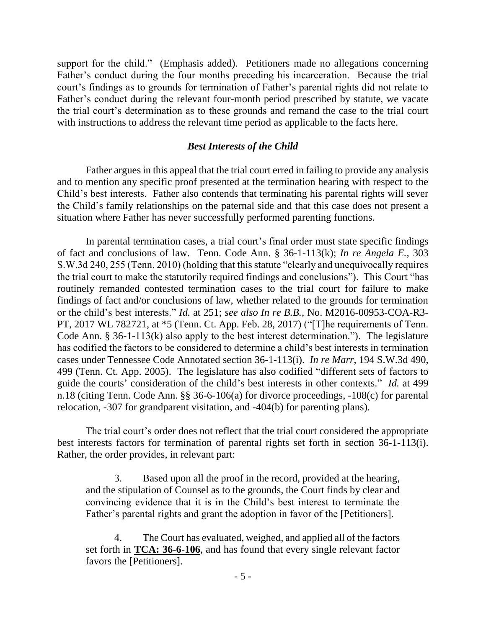support for the child." (Emphasis added). Petitioners made no allegations concerning Father's conduct during the four months preceding his incarceration. Because the trial court's findings as to grounds for termination of Father's parental rights did not relate to Father's conduct during the relevant four-month period prescribed by statute, we vacate the trial court's determination as to these grounds and remand the case to the trial court with instructions to address the relevant time period as applicable to the facts here.

#### *Best Interests of the Child*

Father argues in this appeal that the trial court erred in failing to provide any analysis and to mention any specific proof presented at the termination hearing with respect to the Child's best interests. Father also contends that terminating his parental rights will sever the Child's family relationships on the paternal side and that this case does not present a situation where Father has never successfully performed parenting functions.

In parental termination cases, a trial court's final order must state specific findings of fact and conclusions of law. Tenn. Code Ann. § 36-1-113(k); *In re Angela E.*, 303 S.W.3d 240, 255 (Tenn. 2010) (holding that this statute "clearly and unequivocally requires the trial court to make the statutorily required findings and conclusions"). This Court "has routinely remanded contested termination cases to the trial court for failure to make findings of fact and/or conclusions of law, whether related to the grounds for termination or the child's best interests." *Id.* at 251; *see also In re B.B.*, No. M2016-00953-COA-R3- PT, 2017 WL 782721, at \*5 (Tenn. Ct. App. Feb. 28, 2017) ("[T]he requirements of Tenn. Code Ann. § 36-1-113(k) also apply to the best interest determination."). The legislature has codified the factors to be considered to determine a child's best interests in termination cases under Tennessee Code Annotated section 36-1-113(i). *In re Marr*, 194 S.W.3d 490, 499 (Tenn. Ct. App. 2005). The legislature has also codified "different sets of factors to guide the courts' consideration of the child's best interests in other contexts." *Id.* at 499 n.18 (citing Tenn. Code Ann. §§ 36-6-106(a) for divorce proceedings, -108(c) for parental relocation, -307 for grandparent visitation, and -404(b) for parenting plans).

The trial court's order does not reflect that the trial court considered the appropriate best interests factors for termination of parental rights set forth in section 36-1-113(i). Rather, the order provides, in relevant part:

3. Based upon all the proof in the record, provided at the hearing, and the stipulation of Counsel as to the grounds, the Court finds by clear and convincing evidence that it is in the Child's best interest to terminate the Father's parental rights and grant the adoption in favor of the [Petitioners].

4. The Court has evaluated, weighed, and applied all of the factors set forth in **TCA: 36-6-106**, and has found that every single relevant factor favors the [Petitioners].